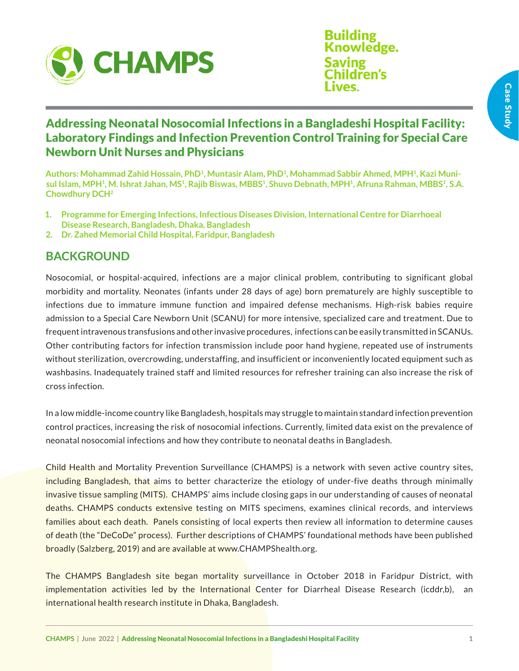

**Building** Knowledge. Saving hildren's Lives.

# Addressing Neonatal Nosocomial Infections in a Bangladeshi Hospital Facility: Laboratory Findings and Infection Prevention Control Training for Special Care Newborn Unit Nurses and Physicians

**Authors: Mohammad Zahid Hossain, PhD1, Muntasir Alam, PhD1, Mohammad Sabbir Ahmed, MPH1, Kazi Munisul Islam, MPH1, M. Ishrat Jahan, MS1, Rajib Biswas, MBBS1, Shuvo Debnath, MPH1, Afruna Rahman, MBBS1, S.A. Chowdhury DCH2**

- **1. Programme for Emerging Infections, Infectious Diseases Division, International Centre for Diarrhoeal Disease Research, Bangladesh, Dhaka, Bangladesh**
- **2. Dr. Zahed Memorial Child Hospital, Faridpur, Bangladesh**

### **BACKGROUND**

Nosocomial, or hospital-acquired, infections are a major clinical problem, contributing to significant global morbidity and mortality. Neonates (infants under 28 days of age) born prematurely are highly susceptible to infections due to immature immune function and impaired defense mechanisms. High-risk babies require admission to a Special Care Newborn Unit (SCANU) for more intensive, specialized care and treatment. Due to frequent intravenous transfusions and other invasive procedures, infections can be easily transmitted in SCANUs. Other contributing factors for infection transmission include poor hand hygiene, repeated use of instruments without sterilization, overcrowding, understaffing, and insufficient or inconveniently located equipment such as washbasins. Inadequately trained staff and limited resources for refresher training can also increase the risk of cross infection.

In a low middle-income country like Bangladesh, hospitals may struggle to maintain standard infection prevention control practices, increasing the risk of nosocomial infections. Currently, limited data exist on the prevalence of neonatal nosocomial infections and how they contribute to neonatal deaths in Bangladesh.

Child Health and Mortality Prevention Surveillance (CHAMPS) is a network with seven active country sites, including Bangladesh, that aims to better characterize the etiology of under-five deaths through minimally invasive tissue sampling (MITS). CHAMPS' aims include closing gaps in our understanding of causes of neonatal deaths. CHAMPS conducts extensive testing on MITS specimens, examines clinical records, and interviews families about each death. Panels consisting of local experts then review all information to determine causes of death (the "DeCoDe" process). Further descriptions of CHAMPS' foundational methods have been published broadly (Salzberg, 2019) and are available at www.CHAMPShealth.org.

The CHAMPS Bangladesh site began mortality surveillance in October 2018 in Faridpur District, with implementation activities led by the International Center for Diarrheal Disease Research (icddr,b), an international health research institute in Dhaka, Bangladesh.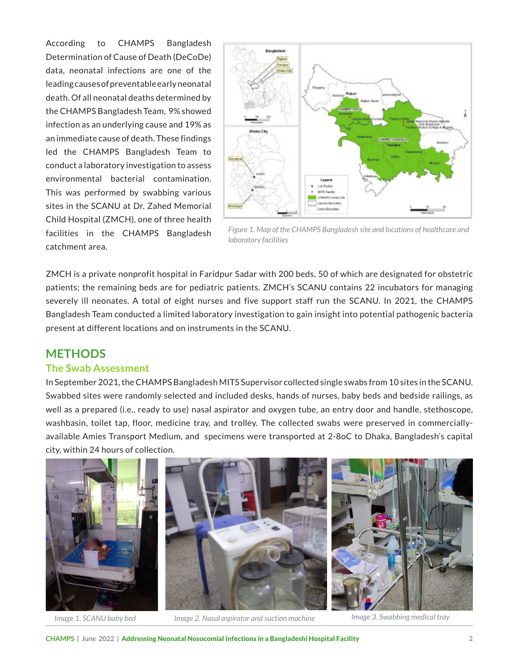According to CHAMPS Bangladesh Determination of Cause of Death (DeCoDe) data, neonatal infections are one of the leading causes of preventable early neonatal death. Of all neonatal deaths determined by the CHAMPS Bangladesh Team, 9% showed infection as an underlying cause and 19% as an immediate cause of death. These findings led the CHAMPS Bangladesh Team to conduct a laboratory investigation to assess environmental bacterial contamination. This was performed by swabbing various sites in the SCANU at Dr. Zahed Memorial Child Hospital (ZMCH), one of three health facilities in the CHAMPS Bangladesh catchment area.



*Figure 1. Map of the CHAMPS Bangladesh site and locations of healthcare and laboratory facilities* 

ZMCH is a private nonprofit hospital in Faridpur Sadar with 200 beds, 50 of which are designated for obstetric patients; the remaining beds are for pediatric patients. ZMCH's SCANU contains 22 incubators for managing severely ill neonates. A total of eight nurses and five support staff run the SCANU. In 2021, the CHAMPS Bangladesh Team conducted a limited laboratory investigation to gain insight into potential pathogenic bacteria present at different locations and on instruments in the SCANU.

### **METHODS**

#### **The Swab Assessment**

In September 2021, the CHAMPS Bangladesh MITS Supervisor collected single swabs from 10 sites in the SCANU. Swabbed sites were randomly selected and included desks, hands of nurses, baby beds and bedside railings, as well as a prepared (i.e., ready to use) nasal aspirator and oxygen tube, an entry door and handle, stethoscope, washbasin, toilet tap, floor, medicine tray, and trolley. The collected swabs were preserved in commerciallyavailable Amies Transport Medium, and specimens were transported at 2-8oC to Dhaka, Bangladesh's capital city, within 24 hours of collection.



*Image 1. SCANU baby bed Image 2. Nasal aspirator and suction machine Image 3. Swabbing medical tray*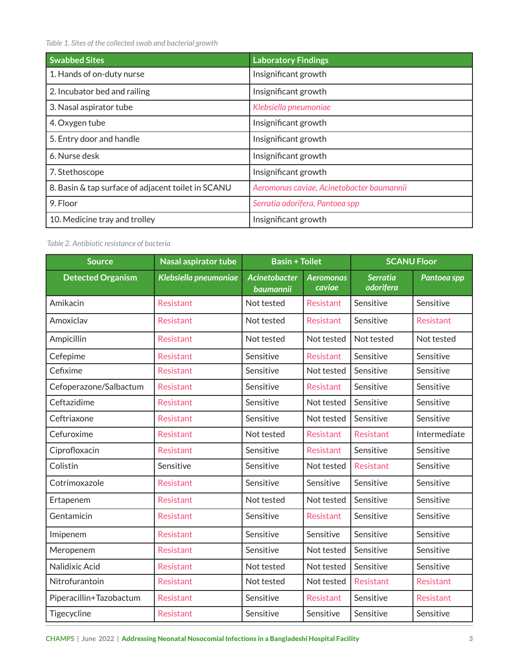*Table 1. Sites of the collected swab and bacterial growth*

| <b>Swabbed Sites</b>                               | <b>Laboratory Findings</b>                |
|----------------------------------------------------|-------------------------------------------|
| 1. Hands of on-duty nurse                          | Insignificant growth                      |
| 2. Incubator bed and railing                       | Insignificant growth                      |
| 3. Nasal aspirator tube                            | Klebsiella pneumoniae                     |
| 4. Oxygen tube                                     | Insignificant growth                      |
| 5. Entry door and handle                           | Insignificant growth                      |
| 6. Nurse desk                                      | Insignificant growth                      |
| 7. Stethoscope                                     | Insignificant growth                      |
| 8. Basin & tap surface of adjacent toilet in SCANU | Aeromonas caviae, Acinetobacter baumannii |
| 9. Floor                                           | Serratia odorifera, Pantoea spp           |
| 10. Medicine tray and trolley                      | Insignificant growth                      |

*Table 2. Antibiotic resistance of bacteria*

| <b>Source</b>            | <b>Nasal aspirator tube</b> | <b>Basin + Toilet</b>             |                            | <b>SCANU Floor</b>                  |              |
|--------------------------|-----------------------------|-----------------------------------|----------------------------|-------------------------------------|--------------|
| <b>Detected Organism</b> | Klebsiella pneumoniae       | <b>Acinetobacter</b><br>baumannii | <b>Aeromonas</b><br>caviae | <b>Serratia</b><br><b>odorifera</b> | Pantoea spp  |
| Amikacin                 | <b>Resistant</b>            | Not tested                        | Resistant                  | Sensitive                           | Sensitive    |
| Amoxiclav                | <b>Resistant</b>            | Not tested                        | <b>Resistant</b>           | Sensitive                           | Resistant    |
| Ampicillin               | <b>Resistant</b>            | Not tested                        | Not tested                 | Not tested                          | Not tested   |
| Cefepime                 | <b>Resistant</b>            | Sensitive                         | Resistant                  | Sensitive                           | Sensitive    |
| Cefixime                 | Resistant                   | Sensitive                         | Not tested                 | Sensitive                           | Sensitive    |
| Cefoperazone/Salbactum   | Resistant                   | Sensitive                         | Resistant                  | Sensitive                           | Sensitive    |
| Ceftazidime              | Resistant                   | Sensitive                         | Not tested                 | Sensitive                           | Sensitive    |
| Ceftriaxone              | <b>Resistant</b>            | Sensitive                         | Not tested                 | Sensitive                           | Sensitive    |
| Cefuroxime               | <b>Resistant</b>            | Not tested                        | Resistant                  | <b>Resistant</b>                    | Intermediate |
| Ciprofloxacin            | Resistant                   | Sensitive                         | Resistant                  | Sensitive                           | Sensitive    |
| Colistin                 | Sensitive                   | Sensitive                         | Not tested                 | <b>Resistant</b>                    | Sensitive    |
| Cotrimoxazole            | <b>Resistant</b>            | Sensitive                         | Sensitive                  | Sensitive                           | Sensitive    |
| Ertapenem                | Resistant                   | Not tested                        | Not tested                 | Sensitive                           | Sensitive    |
| Gentamicin               | <b>Resistant</b>            | Sensitive                         | <b>Resistant</b>           | Sensitive                           | Sensitive    |
| Imipenem                 | <b>Resistant</b>            | Sensitive                         | Sensitive                  | Sensitive                           | Sensitive    |
| Meropenem                | <b>Resistant</b>            | Sensitive                         | Not tested                 | Sensitive                           | Sensitive    |
| Nalidixic Acid           | <b>Resistant</b>            | Not tested                        | Not tested                 | Sensitive                           | Sensitive    |
| Nitrofurantoin           | Resistant                   | Not tested                        | Not tested                 | Resistant                           | Resistant    |
| Piperacillin+Tazobactum  | Resistant                   | Sensitive                         | Resistant                  | Sensitive                           | Resistant    |
| Tigecycline              | Resistant                   | Sensitive                         | Sensitive                  | Sensitive                           | Sensitive    |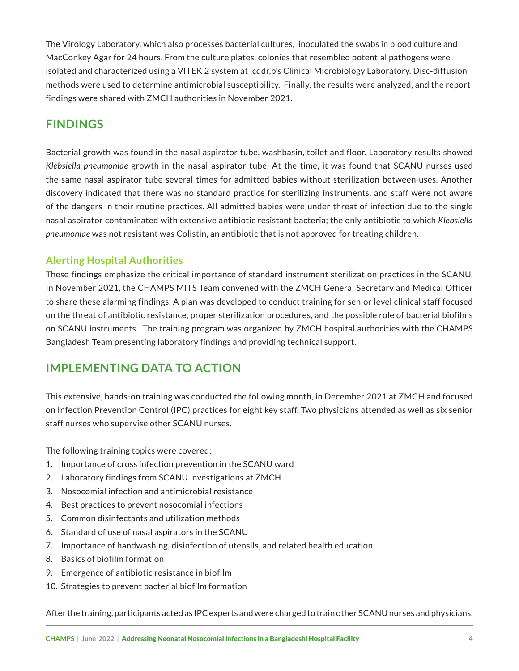The Virology Laboratory, which also processes bacterial cultures, inoculated the swabs in blood culture and MacConkey Agar for 24 hours. From the culture plates, colonies that resembled potential pathogens were isolated and characterized using a VITEK 2 system at icddr,b's Clinical Microbiology Laboratory. Disc-diffusion methods were used to determine antimicrobial susceptibility. Finally, the results were analyzed, and the report findings were shared with ZMCH authorities in November 2021.

# **FINDINGS**

Bacterial growth was found in the nasal aspirator tube, washbasin, toilet and floor. Laboratory results showed *Klebsiella pneumoniae* growth in the nasal aspirator tube. At the time, it was found that SCANU nurses used the same nasal aspirator tube several times for admitted babies without sterilization between uses. Another discovery indicated that there was no standard practice for sterilizing instruments, and staff were not aware of the dangers in their routine practices. All admitted babies were under threat of infection due to the single nasal aspirator contaminated with extensive antibiotic resistant bacteria; the only antibiotic to which *Klebsiella pneumoniae* was not resistant was Colistin, an antibiotic that is not approved for treating children.

### **Alerting Hospital Authorities**

These findings emphasize the critical importance of standard instrument sterilization practices in the SCANU. In November 2021, the CHAMPS MITS Team convened with the ZMCH General Secretary and Medical Officer to share these alarming findings. A plan was developed to conduct training for senior level clinical staff focused on the threat of antibiotic resistance, proper sterilization procedures, and the possible role of bacterial biofilms on SCANU instruments. The training program was organized by ZMCH hospital authorities with the CHAMPS Bangladesh Team presenting laboratory findings and providing technical support.

## **IMPLEMENTING DATA TO ACTION**

This extensive, hands-on training was conducted the following month, in December 2021 at ZMCH and focused on Infection Prevention Control (IPC) practices for eight key staff. Two physicians attended as well as six senior staff nurses who supervise other SCANU nurses.

The following training topics were covered:

- 1. Importance of cross infection prevention in the SCANU ward
- 2. Laboratory findings from SCANU investigations at ZMCH
- 3. Nosocomial infection and antimicrobial resistance
- 4. Best practices to prevent nosocomial infections
- 5. Common disinfectants and utilization methods
- 6. Standard of use of nasal aspirators in the SCANU
- 7. Importance of handwashing, disinfection of utensils, and related health education
- 8. Basics of biofilm formation
- 9. Emergence of antibiotic resistance in biofilm
- 10. Strategies to prevent bacterial biofilm formation

After the training, participants acted as IPC experts and were charged to train other SCANU nurses and physicians.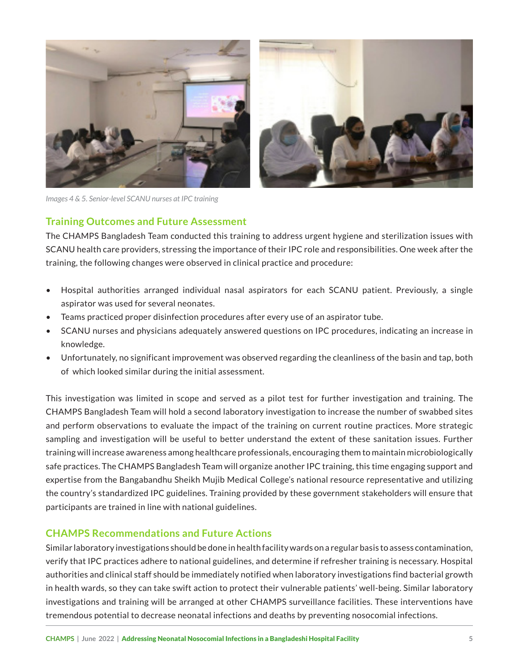

*Images 4 & 5. Senior-level SCANU nurses at IPC training*

### **Training Outcomes and Future Assessment**

The CHAMPS Bangladesh Team conducted this training to address urgent hygiene and sterilization issues with SCANU health care providers, stressing the importance of their IPC role and responsibilities. One week after the training, the following changes were observed in clinical practice and procedure:

- Hospital authorities arranged individual nasal aspirators for each SCANU patient. Previously, a single aspirator was used for several neonates.
- Teams practiced proper disinfection procedures after every use of an aspirator tube.
- SCANU nurses and physicians adequately answered questions on IPC procedures, indicating an increase in knowledge.
- Unfortunately, no significant improvement was observed regarding the cleanliness of the basin and tap, both of which looked similar during the initial assessment.

This investigation was limited in scope and served as a pilot test for further investigation and training. The CHAMPS Bangladesh Team will hold a second laboratory investigation to increase the number of swabbed sites and perform observations to evaluate the impact of the training on current routine practices. More strategic sampling and investigation will be useful to better understand the extent of these sanitation issues. Further training will increase awareness among healthcare professionals, encouraging them to maintain microbiologically safe practices. The CHAMPS Bangladesh Team will organize another IPC training, this time engaging support and expertise from the Bangabandhu Sheikh Mujib Medical College's national resource representative and utilizing the country's standardized IPC guidelines. Training provided by these government stakeholders will ensure that participants are trained in line with national guidelines.

### **CHAMPS Recommendations and Future Actions**

Similar laboratory investigations should be done in health facility wards on a regular basis to assess contamination, verify that IPC practices adhere to national guidelines, and determine if refresher training is necessary. Hospital authorities and clinical staff should be immediately notified when laboratory investigations find bacterial growth in health wards, so they can take swift action to protect their vulnerable patients' well-being. Similar laboratory investigations and training will be arranged at other CHAMPS surveillance facilities. These interventions have tremendous potential to decrease neonatal infections and deaths by preventing nosocomial infections.